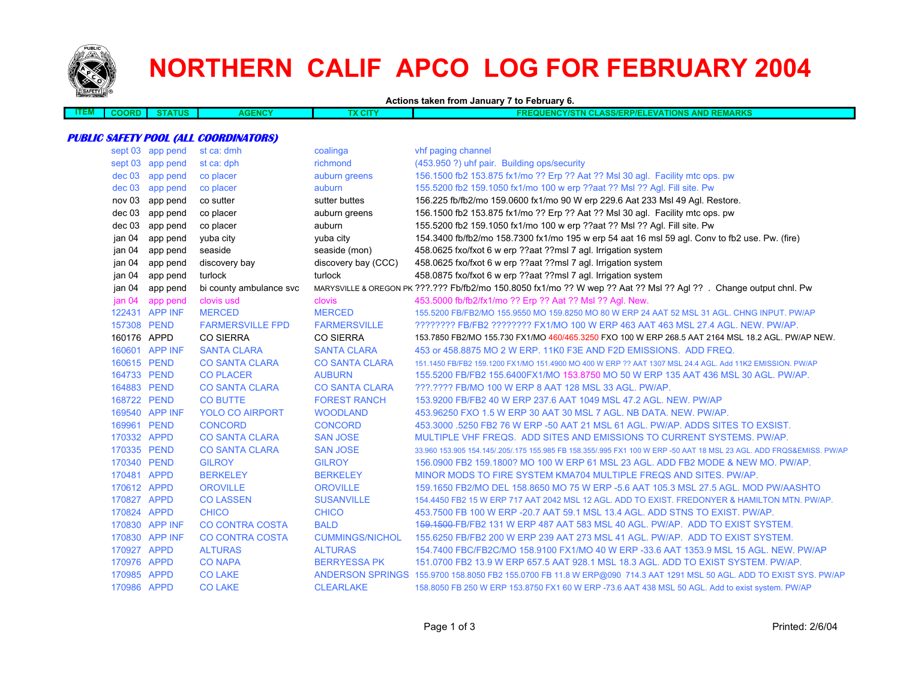

# **NORTHERN CALIF APCO LOG FOR FEBRUARY 2004**

**Actions taken from January 7 to February 6.**

| ____<br>LEM | ,,,,,, | TUS | ENCY<br><u>ас</u> | $\sim$ | MAPKQ<br>,,,,,<br>43.ZZ<br>5001<br>' NEWANNO<br>----<br>.<br>-- |
|-------------|--------|-----|-------------------|--------|-----------------------------------------------------------------|
|             |        |     |                   |        |                                                                 |
|             |        |     |                   |        |                                                                 |

#### **PUBLIC SAFETY POOL (ALL COORDINATORS)**

|             | sept 03 app pend | st ca: dmh              | coalinga               | vhf paging channel                                                                                                   |
|-------------|------------------|-------------------------|------------------------|----------------------------------------------------------------------------------------------------------------------|
|             | sept 03 app pend | st ca: dph              | richmond               | (453.950 ?) uhf pair. Building ops/security                                                                          |
| $dec$ 03    | app pend         | co placer               | auburn greens          | 156.1500 fb2 153.875 fx1/mo ?? Erp ?? Aat ?? Msl 30 agl. Facility mtc ops. pw                                        |
| dec 03      | app pend         | co placer               | auburn                 | 155.5200 fb2 159.1050 fx1/mo 100 w erp ??aat ?? Msl ?? Agl. Fill site. Pw                                            |
| nov 03      | app pend         | co sutter               | sutter buttes          | 156.225 fb/fb2/mo 159.0600 fx1/mo 90 W erp 229.6 Aat 233 Msl 49 Agl. Restore.                                        |
|             | dec 03 app pend  | co placer               | auburn greens          | 156.1500 fb2 153.875 fx1/mo ?? Erp ?? Aat ?? Msl 30 agl. Facility mtc ops. pw                                        |
|             | dec 03 app pend  | co placer               | auburn                 | 155.5200 fb2 159.1050 fx1/mo 100 w erp ??aat ?? Msl ?? Agl. Fill site. Pw                                            |
| jan 04      | app pend         | yuba city               | yuba city              | 154.3400 fb/fb2/mo 158.7300 fx1/mo 195 w erp 54 aat 16 msl 59 agl. Conv to fb2 use. Pw. (fire)                       |
| jan 04      | app pend         | seaside                 | seaside (mon)          | 458.0625 fxo/fxot 6 w erp ??aat ??msl 7 agl. Irrigation system                                                       |
| jan 04      | app pend         | discovery bay           | discovery bay (CCC)    | 458.0625 fxo/fxot 6 w erp ??aat ??msl 7 agl. Irrigation system                                                       |
| jan 04      | app pend         | turlock                 | turlock                | 458.0875 fxo/fxot 6 w erp ??aat ??msl 7 agl. Irrigation system                                                       |
| jan 04      | app pend         | bi county ambulance svc |                        | MARYSVILLE & OREGON PK ???.??? Fb/fb2/mo 150.8050 fx1/mo ?? W wep ?? Aat ?? Msl ?? Agl ??. Change output chnl. Pw    |
| jan 04      | app pend         | clovis usd              | clovis                 | 453.5000 fb/fb2/fx1/mo ?? Erp ?? Aat ?? Msl ?? Agl. New.                                                             |
|             | 122431 APP INF   | <b>MERCED</b>           | <b>MERCED</b>          | 155,5200 FB/FB2/MO 155,9550 MO 159,8250 MO 80 W ERP 24 AAT 52 MSL 31 AGL, CHNG INPUT, PW/AP                          |
| 157308 PEND |                  | <b>FARMERSVILLE FPD</b> | <b>FARMERSVILLE</b>    | ???????? FB/FB2 ???????? FX1/MO 100 W ERP 463 AAT 463 MSL 27.4 AGL. NEW. PW/AP.                                      |
| 160176 APPD |                  | <b>CO SIERRA</b>        | <b>CO SIERRA</b>       | 153.7850 FB2/MO 155.730 FX1/MO 460/465.3250 FXO 100 W ERP 268.5 AAT 2164 MSL 18.2 AGL. PW/AP NEW.                    |
|             | 160601 APP INF   | <b>SANTA CLARA</b>      | <b>SANTA CLARA</b>     | 453 or 458.8875 MO 2 W ERP. 11K0 F3E AND F2D EMISSIONS. ADD FREQ.                                                    |
| 160615 PEND |                  | <b>CO SANTA CLARA</b>   | <b>CO SANTA CLARA</b>  | 151.1450 FB/FB2 159.1200 FX1/MO 151.4900 MO 400 W ERP ?? AAT 1307 MSL 24.4 AGL. Add 11K2 EMISSION. PW/AP             |
| 164733 PEND |                  | <b>CO PLACER</b>        | <b>AUBURN</b>          | 155.5200 FB/FB2 155.6400FX1/MO 153.8750 MO 50 W ERP 135 AAT 436 MSL 30 AGL. PW/AP.                                   |
| 164883 PEND |                  | <b>CO SANTA CLARA</b>   | <b>CO SANTA CLARA</b>  | ???.???? FB/MO 100 W ERP 8 AAT 128 MSL 33 AGL. PW/AP.                                                                |
| 168722 PEND |                  | <b>CO BUTTE</b>         | <b>FOREST RANCH</b>    | 153,9200 FB/FB2 40 W ERP 237.6 AAT 1049 MSL 47.2 AGL, NEW, PW/AP                                                     |
|             | 169540 APP INF   | <b>YOLO CO AIRPORT</b>  | <b>WOODLAND</b>        | 453,96250 FXO 1.5 W ERP 30 AAT 30 MSL 7 AGL, NB DATA, NEW, PW/AP.                                                    |
| 169961 PEND |                  | <b>CONCORD</b>          | <b>CONCORD</b>         | 453,3000 5250 FB2 76 W ERP -50 AAT 21 MSL 61 AGL. PWAP, ADDS SITES TO EXSIST.                                        |
| 170332 APPD |                  | <b>CO SANTA CLARA</b>   | <b>SAN JOSE</b>        | MULTIPLE VHF FREQS. ADD SITES AND EMISSIONS TO CURRENT SYSTEMS, PW/AP.                                               |
| 170335 PEND |                  | <b>CO SANTA CLARA</b>   | <b>SAN JOSE</b>        | 33,960 153,905 154,145/.205/.175 155,985 FB 158,355/.995 FX1 100 W ERP -50 AAT 18 MSL 23 AGL, ADD FRQS&EMISS, PW/AP  |
| 170340 PEND |                  | <b>GILROY</b>           | <b>GILROY</b>          | 156,0900 FB2 159,1800? MO 100 W ERP 61 MSL 23 AGL, ADD FB2 MODE & NEW MO, PW/AP,                                     |
| 170481 APPD |                  | <b>BERKELEY</b>         | <b>BERKELEY</b>        | MINOR MODS TO FIRE SYSTEM KMA704 MULTIPLE FREQS AND SITES. PW/AP.                                                    |
| 170612 APPD |                  | <b>OROVILLE</b>         | <b>OROVILLE</b>        | 159.1650 FB2/MO DEL 158.8650 MO 75 W ERP -5.6 AAT 105.3 MSL 27.5 AGL. MOD PW/AASHTO                                  |
| 170827 APPD |                  | <b>CO LASSEN</b>        | <b>SUSANVILLE</b>      | 154.4450 FB2 15 W ERP 717 AAT 2042 MSL 12 AGL. ADD TO EXIST. FREDONYER & HAMILTON MTN. PW/AP.                        |
| 170824 APPD |                  | <b>CHICO</b>            | <b>CHICO</b>           | 453.7500 FB 100 W ERP - 20.7 AAT 59.1 MSL 13.4 AGL. ADD STNS TO EXIST. PW/AP.                                        |
|             | 170830 APP INF   | <b>CO CONTRA COSTA</b>  | <b>BALD</b>            | 159.1500-FB/FB2 131 W ERP 487 AAT 583 MSL 40 AGL. PW/AP. ADD TO EXIST SYSTEM.                                        |
|             | 170830 APP INF   | <b>CO CONTRA COSTA</b>  | <b>CUMMINGS/NICHOL</b> | 155.6250 FB/FB2 200 W ERP 239 AAT 273 MSL 41 AGL. PW/AP. ADD TO EXIST SYSTEM.                                        |
| 170927 APPD |                  | <b>ALTURAS</b>          | <b>ALTURAS</b>         | 154.7400 FBC/FB2C/MO 158.9100 FX1/MO 40 W ERP -33.6 AAT 1353.9 MSL 15 AGL, NEW, PW/AP                                |
| 170976 APPD |                  | <b>CO NAPA</b>          | <b>BERRYESSA PK</b>    | 151,0700 FB2 13.9 W ERP 657.5 AAT 928.1 MSL 18.3 AGL, ADD TO EXIST SYSTEM, PW/AP.                                    |
| 170985 APPD |                  | <b>CO LAKE</b>          |                        | ANDERSON SPRINGS 155.9700 158.8050 FB2 155.0700 FB 11.8 W ERP@090 714.3 AAT 1291 MSL 50 AGL. ADD TO EXIST SYS. PW/AP |
| 170986 APPD |                  | <b>CO LAKE</b>          | <b>CLEARLAKE</b>       | 158.8050 FB 250 W ERP 153.8750 FX1 60 W ERP -73.6 AAT 438 MSL 50 AGL. Add to exist system. PW/AP                     |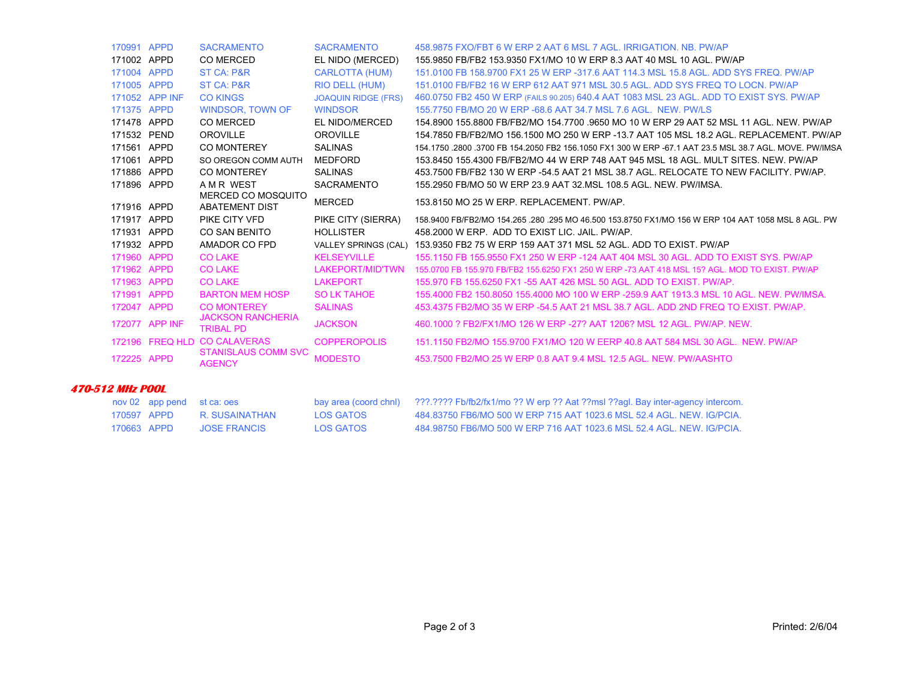| 170991 APPD |                | <b>SACRAMENTO</b>                            | <b>SACRAMENTO</b>          | 458,9875 FXO/FBT 6 W ERP 2 AAT 6 MSL 7 AGL, IRRIGATION, NB, PW/AP                                      |
|-------------|----------------|----------------------------------------------|----------------------------|--------------------------------------------------------------------------------------------------------|
| 171002 APPD |                | CO MERCED                                    | EL NIDO (MERCED)           | 155,9850 FB/FB2 153,9350 FX1/MO 10 W ERP 8.3 AAT 40 MSL 10 AGL, PW/AP                                  |
| 171004 APPD |                | ST CA: P&R                                   | <b>CARLOTTA (HUM)</b>      | 151,0100 FB 158,9700 FX1 25 W ERP -317.6 AAT 114.3 MSL 15.8 AGL, ADD SYS FREQ, PW/AP                   |
| 171005 APPD |                | <b>ST CA: P&amp;R</b>                        | <b>RIO DELL (HUM)</b>      | 151,0100 FB/FB2 16 W ERP 612 AAT 971 MSL 30.5 AGL, ADD SYS FREQ TO LOCN, PW/AP                         |
|             | 171052 APP INF | <b>CO KINGS</b>                              | <b>JOAQUIN RIDGE (FRS)</b> | 460.0750 FB2 450 W ERP (FAILS 90.205) 640.4 AAT 1083 MSL 23 AGL. ADD TO EXIST SYS. PW/AP               |
| 171375 APPD |                | <b>WINDSOR, TOWN OF</b>                      | <b>WINDSOR</b>             | 155,7750 FB/MO 20 W ERP -68.6 AAT 34.7 MSL 7.6 AGL. NEW. PW/LS                                         |
| 171478 APPD |                | <b>CO MERCED</b>                             | EL NIDO/MERCED             | 154 8900 155 8800 FB/FB2/MO 154 7700 9650 MO 10 W ERP 29 AAT 52 MSL 11 AGL. NEW, PW/AP                 |
| 171532 PEND |                | <b>OROVILLE</b>                              | <b>OROVILLE</b>            | 154.7850 FB/FB2/MO 156.1500 MO 250 W ERP -13.7 AAT 105 MSL 18.2 AGL. REPLACEMENT, PW/AP                |
| 171561      | APPD           | <b>CO MONTEREY</b>                           | <b>SALINAS</b>             | 154.1750 .2800 .3700 FB 154.2050 FB2 156.1050 FX1 300 W ERP -67.1 AAT 23.5 MSL 38.7 AGL. MOVE. PW/IMSA |
| 171061      | APPD           | SO OREGON COMM AUTH                          | <b>MEDFORD</b>             | 153.8450 155.4300 FB/FB2/MO 44 W ERP 748 AAT 945 MSL 18 AGL. MULT SITES, NEW, PW/AP                    |
| 171886      | APPD           | <b>CO MONTEREY</b>                           | <b>SALINAS</b>             | 453.7500 FB/FB2 130 W ERP -54.5 AAT 21 MSL 38.7 AGL. RELOCATE TO NEW FACILITY, PW/AP.                  |
| 171896 APPD |                | A M R WEST                                   | <b>SACRAMENTO</b>          | 155,2950 FB/MO 50 W ERP 23.9 AAT 32 MSL 108.5 AGL, NEW, PW/IMSA.                                       |
| 171916 APPD |                | MERCED CO MOSQUITO<br><b>ABATEMENT DIST</b>  | <b>MERCED</b>              | 153.8150 MO 25 W ERP. REPLACEMENT. PW/AP.                                                              |
| 171917 APPD |                | PIKE CITY VFD                                | PIKE CITY (SIERRA)         | 158,9400 FB/FB2/MO 154,265,280,295 MO 46,500 153,8750 FX1/MO 156 W ERP 104 AAT 1058 MSL 8 AGL, PW      |
| 171931 APPD |                | <b>CO SAN BENITO</b>                         | <b>HOLLISTER</b>           | 458,2000 W ERP. ADD TO EXIST LIC. JAIL. PW/AP.                                                         |
| 171932 APPD |                | AMADOR CO FPD                                | VALLEY SPRINGS (CAL)       | 153,9350 FB2 75 W ERP 159 AAT 371 MSL 52 AGL. ADD TO EXIST, PW/AP                                      |
| 171960      | <b>APPD</b>    | <b>CO LAKE</b>                               | <b>KELSEYVILLE</b>         | 155,1150 FB 155,9550 FX1 250 W ERP -124 AAT 404 MSL 30 AGL, ADD TO EXIST SYS, PW/AP                    |
| 171962      | <b>APPD</b>    | <b>CO LAKE</b>                               | LAKEPORT/MID'TWN           | 155,0700 FB 155,970 FB/FB2 155,6250 FX1 250 W ERP -73 AAT 418 MSL 15? AGL, MOD TO EXIST, PW/AP         |
| 171963      | <b>APPD</b>    | <b>CO LAKE</b>                               | <b>LAKEPORT</b>            | 155,970 FB 155,6250 FX1 -55 AAT 426 MSL 50 AGL, ADD TO EXIST, PW/AP.                                   |
| 171991 APPD |                | <b>BARTON MEM HOSP</b>                       | <b>SO LK TAHOE</b>         | 155,4000 FB2 150,8050 155,4000 MO 100 W ERP -259,9 AAT 1913,3 MSL 10 AGL, NEW, PW/IMSA,                |
| 172047 APPD |                | <b>CO MONTEREY</b>                           | <b>SALINAS</b>             | 453.4375 FB2/MO 35 W ERP -54.5 AAT 21 MSL 38.7 AGL. ADD 2ND FREQ TO EXIST. PW/AP.                      |
| 172077      | <b>APP INF</b> | <b>JACKSON RANCHERIA</b><br><b>TRIBAL PD</b> | <b>JACKSON</b>             | 460,1000 ? FB2/FX1/MO 126 W ERP -27? AAT 1206? MSL 12 AGL, PW/AP, NEW.                                 |
| 172196      |                | <b>FREQ HLD CO CALAVERAS</b>                 | <b>COPPEROPOLIS</b>        | 151.1150 FB2/MO 155.9700 FX1/MO 120 W EERP 40.8 AAT 584 MSL 30 AGL. NEW, PW/AP                         |
| 172225      | <b>APPD</b>    | <b>STANISLAUS COMM SVC</b><br><b>AGENCY</b>  | <b>MODESTO</b>             | 453,7500 FB2/MO 25 W ERP 0.8 AAT 9.4 MSL 12.5 AGL, NEW, PW/AASHTO                                      |

### **470-512 MHz POOL**

|             | nov 02 app pend st ca: oes |           | bay area (coord chnl) ???.???? Fb/fb2/fx1/mo ?? W erp ?? Aat ??msl ??agl. Bay inter-agency intercom. |
|-------------|----------------------------|-----------|------------------------------------------------------------------------------------------------------|
| 170597 APPD | R. SUSAINATHAN             | LOS GATOS | 484.83750 FB6/MO 500 W ERP 715 AAT 1023.6 MSL 52.4 AGL. NEW. IG/PCIA.                                |
| 170663 APPD | <b>JOSE FRANCIS</b>        | LOS GATOS | 484,98750 FB6/MO 500 W ERP 716 AAT 1023.6 MSL 52.4 AGL, NEW, IG/PCIA.                                |